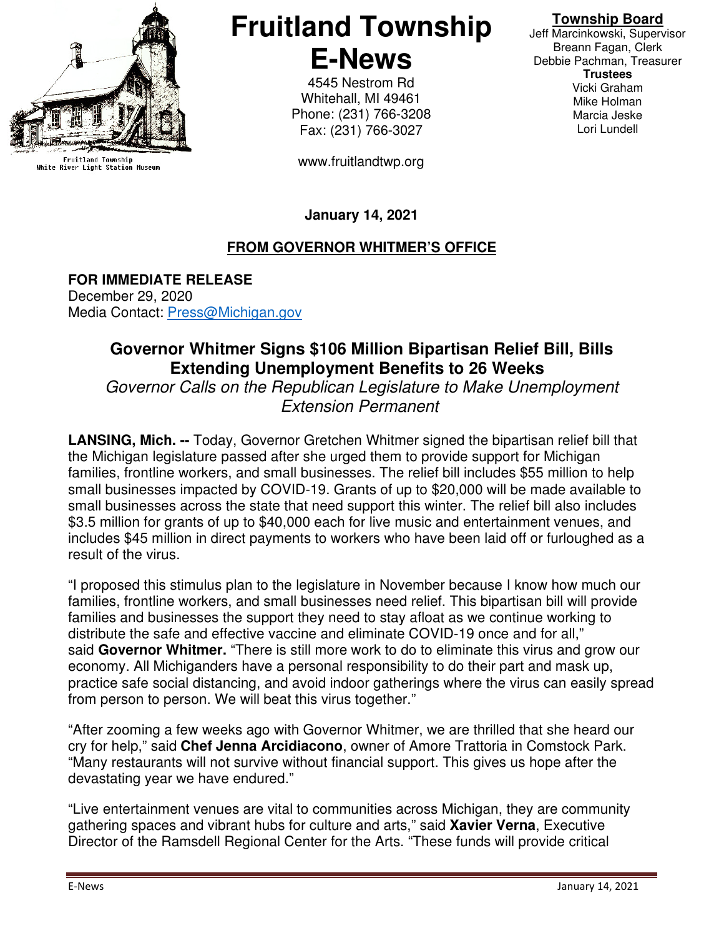

Fruitland Township<br>White River Light Station Museum

# **Fruitland Township E-News**

4545 Nestrom Rd Whitehall, MI 49461 Phone: (231) 766-3208 Fax: (231) 766-3027

www.fruitlandtwp.org

## **Township Board**

Jeff Marcinkowski, Supervisor Breann Fagan, Clerk Debbie Pachman, Treasurer **Trustees**  Vicki Graham Mike Holman Marcia Jeske Lori Lundell

## **January 14, 2021**

### **FROM GOVERNOR WHITMER'S OFFICE**

**FOR IMMEDIATE RELEASE** December 29, 2020 Media Contact: Press@Michigan.gov

## **Governor Whitmer Signs \$106 Million Bipartisan Relief Bill, Bills Extending Unemployment Benefits to 26 Weeks**

Governor Calls on the Republican Legislature to Make Unemployment Extension Permanent

**LANSING, Mich. --** Today, Governor Gretchen Whitmer signed the bipartisan relief bill that the Michigan legislature passed after she urged them to provide support for Michigan families, frontline workers, and small businesses. The relief bill includes \$55 million to help small businesses impacted by COVID-19. Grants of up to \$20,000 will be made available to small businesses across the state that need support this winter. The relief bill also includes \$3.5 million for grants of up to \$40,000 each for live music and entertainment venues, and includes \$45 million in direct payments to workers who have been laid off or furloughed as a result of the virus.

"I proposed this stimulus plan to the legislature in November because I know how much our families, frontline workers, and small businesses need relief. This bipartisan bill will provide families and businesses the support they need to stay afloat as we continue working to distribute the safe and effective vaccine and eliminate COVID-19 once and for all," said **Governor Whitmer.** "There is still more work to do to eliminate this virus and grow our economy. All Michiganders have a personal responsibility to do their part and mask up, practice safe social distancing, and avoid indoor gatherings where the virus can easily spread from person to person. We will beat this virus together."

"After zooming a few weeks ago with Governor Whitmer, we are thrilled that she heard our cry for help," said **Chef Jenna Arcidiacono**, owner of Amore Trattoria in Comstock Park. "Many restaurants will not survive without financial support. This gives us hope after the devastating year we have endured."

"Live entertainment venues are vital to communities across Michigan, they are community gathering spaces and vibrant hubs for culture and arts," said **Xavier Verna**, Executive Director of the Ramsdell Regional Center for the Arts. "These funds will provide critical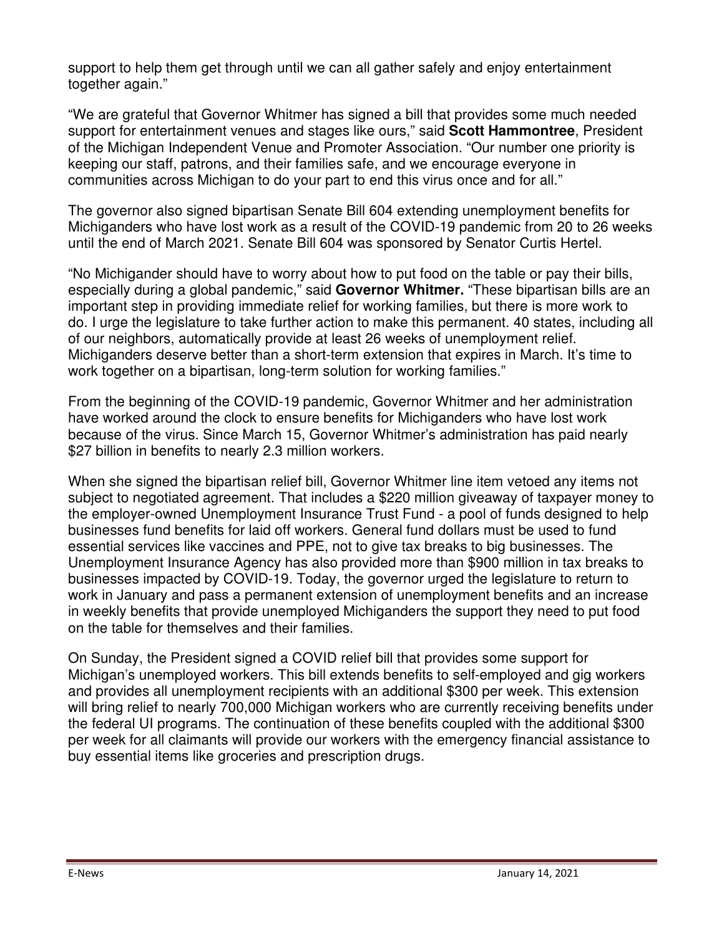support to help them get through until we can all gather safely and enjoy entertainment together again."

"We are grateful that Governor Whitmer has signed a bill that provides some much needed support for entertainment venues and stages like ours," said **Scott Hammontree**, President of the Michigan Independent Venue and Promoter Association. "Our number one priority is keeping our staff, patrons, and their families safe, and we encourage everyone in communities across Michigan to do your part to end this virus once and for all."

The governor also signed bipartisan Senate Bill 604 extending unemployment benefits for Michiganders who have lost work as a result of the COVID-19 pandemic from 20 to 26 weeks until the end of March 2021. Senate Bill 604 was sponsored by Senator Curtis Hertel.

"No Michigander should have to worry about how to put food on the table or pay their bills, especially during a global pandemic," said **Governor Whitmer.** "These bipartisan bills are an important step in providing immediate relief for working families, but there is more work to do. I urge the legislature to take further action to make this permanent. 40 states, including all of our neighbors, automatically provide at least 26 weeks of unemployment relief. Michiganders deserve better than a short-term extension that expires in March. It's time to work together on a bipartisan, long-term solution for working families."

From the beginning of the COVID-19 pandemic, Governor Whitmer and her administration have worked around the clock to ensure benefits for Michiganders who have lost work because of the virus. Since March 15, Governor Whitmer's administration has paid nearly \$27 billion in benefits to nearly 2.3 million workers.

When she signed the bipartisan relief bill, Governor Whitmer line item vetoed any items not subject to negotiated agreement. That includes a \$220 million giveaway of taxpayer money to the employer-owned Unemployment Insurance Trust Fund - a pool of funds designed to help businesses fund benefits for laid off workers. General fund dollars must be used to fund essential services like vaccines and PPE, not to give tax breaks to big businesses. The Unemployment Insurance Agency has also provided more than \$900 million in tax breaks to businesses impacted by COVID-19. Today, the governor urged the legislature to return to work in January and pass a permanent extension of unemployment benefits and an increase in weekly benefits that provide unemployed Michiganders the support they need to put food on the table for themselves and their families.

On Sunday, the President signed a COVID relief bill that provides some support for Michigan's unemployed workers. This bill extends benefits to self-employed and gig workers and provides all unemployment recipients with an additional \$300 per week. This extension will bring relief to nearly 700,000 Michigan workers who are currently receiving benefits under the federal UI programs. The continuation of these benefits coupled with the additional \$300 per week for all claimants will provide our workers with the emergency financial assistance to buy essential items like groceries and prescription drugs.